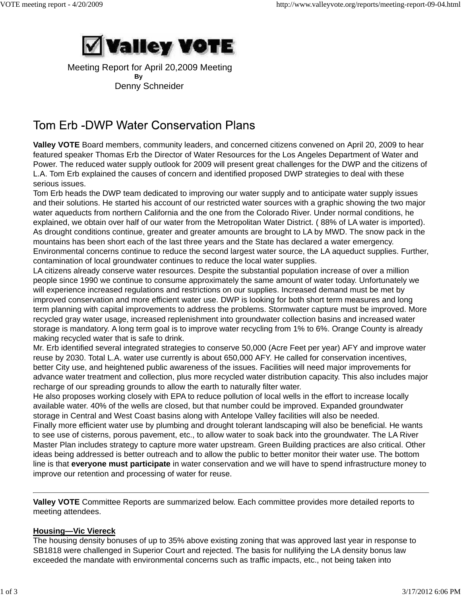

 Meeting Report for April 20,2009 Meeting **By** Denny Schneider

# Tom Erb -DWP Water Conservation Plans

**Valley VOTE** Board members, community leaders, and concerned citizens convened on April 20, 2009 to hear featured speaker Thomas Erb the Director of Water Resources for the Los Angeles Department of Water and Power. The reduced water supply outlook for 2009 will present great challenges for the DWP and the citizens of L.A. Tom Erb explained the causes of concern and identified proposed DWP strategies to deal with these serious issues.

Tom Erb heads the DWP team dedicated to improving our water supply and to anticipate water supply issues and their solutions. He started his account of our restricted water sources with a graphic showing the two major water aqueducts from northern California and the one from the Colorado River. Under normal conditions, he explained, we obtain over half of our water from the Metropolitan Water District. ( 88% of LA water is imported). As drought conditions continue, greater and greater amounts are brought to LA by MWD. The snow pack in the mountains has been short each of the last three years and the State has declared a water emergency. Environmental concerns continue to reduce the second largest water source, the LA aqueduct supplies. Further, contamination of local groundwater continues to reduce the local water supplies.

LA citizens already conserve water resources. Despite the substantial population increase of over a million people since 1990 we continue to consume approximately the same amount of water today. Unfortunately we will experience increased regulations and restrictions on our supplies. Increased demand must be met by improved conservation and more efficient water use. DWP is looking for both short term measures and long term planning with capital improvements to address the problems. Stormwater capture must be improved. More recycled gray water usage, increased replenishment into groundwater collection basins and increased water storage is mandatory. A long term goal is to improve water recycling from 1% to 6%. Orange County is already making recycled water that is safe to drink.

Mr. Erb identified several integrated strategies to conserve 50,000 (Acre Feet per year) AFY and improve water reuse by 2030. Total L.A. water use currently is about 650,000 AFY. He called for conservation incentives, better City use, and heightened public awareness of the issues. Facilities will need major improvements for advance water treatment and collection, plus more recycled water distribution capacity. This also includes major recharge of our spreading grounds to allow the earth to naturally filter water.

He also proposes working closely with EPA to reduce pollution of local wells in the effort to increase locally available water. 40% of the wells are closed, but that number could be improved. Expanded groundwater storage in Central and West Coast basins along with Antelope Valley facilities will also be needed.

Finally more efficient water use by plumbing and drought tolerant landscaping will also be beneficial. He wants to see use of cisterns, porous pavement, etc., to allow water to soak back into the groundwater. The LA River Master Plan includes strategy to capture more water upstream. Green Building practices are also critical. Other ideas being addressed is better outreach and to allow the public to better monitor their water use. The bottom line is that **everyone must participate** in water conservation and we will have to spend infrastructure money to improve our retention and processing of water for reuse.

**Valley VOTE** Committee Reports are summarized below. Each committee provides more detailed reports to meeting attendees.

## **Housing—Vic Viereck**

The housing density bonuses of up to 35% above existing zoning that was approved last year in response to SB1818 were challenged in Superior Court and rejected. The basis for nullifying the LA density bonus law exceeded the mandate with environmental concerns such as traffic impacts, etc., not being taken into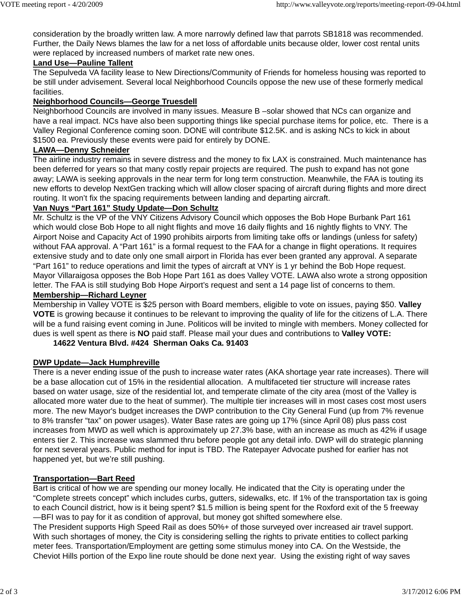consideration by the broadly written law. A more narrowly defined law that parrots SB1818 was recommended. Further, the Daily News blames the law for a net loss of affordable units because older, lower cost rental units were replaced by increased numbers of market rate new ones.

### **Land Use—Pauline Tallent**

The Sepulveda VA facility lease to New Directions/Community of Friends for homeless housing was reported to be still under advisement. Several local Neighborhood Councils oppose the new use of these formerly medical facilities.

## **Neighborhood Councils—George Truesdell**

Neighborhood Councils are involved in many issues. Measure B –solar showed that NCs can organize and have a real impact. NCs have also been supporting things like special purchase items for police, etc. There is a Valley Regional Conference coming soon. DONE will contribute \$12.5K. and is asking NCs to kick in about \$1500 ea. Previously these events were paid for entirely by DONE.

## **LAWA—Denny Schneider**

The airline industry remains in severe distress and the money to fix LAX is constrained. Much maintenance has been deferred for years so that many costly repair projects are required. The push to expand has not gone away; LAWA is seeking approvals in the near term for long term construction. Meanwhile, the FAA is touting its new efforts to develop NextGen tracking which will allow closer spacing of aircraft during flights and more direct routing. It won't fix the spacing requirements between landing and departing aircraft.

## **Van Nuys "Part 161" Study Update—Don Schultz**

Mr. Schultz is the VP of the VNY Citizens Advisory Council which opposes the Bob Hope Burbank Part 161 which would close Bob Hope to all night flights and move 16 daily flights and 16 nightly flights to VNY. The Airport Noise and Capacity Act of 1990 prohibits airports from limiting take offs or landings (unless for safety) without FAA approval. A "Part 161" is a formal request to the FAA for a change in flight operations. It requires extensive study and to date only one small airport in Florida has ever been granted any approval. A separate "Part 161" to reduce operations and limit the types of aircraft at VNY is 1 yr behind the Bob Hope request. Mayor Villaraigosa opposes the Bob Hope Part 161 as does Valley VOTE. LAWA also wrote a strong opposition letter. The FAA is still studying Bob Hope Airport's request and sent a 14 page list of concerns to them.

## **Membership—Richard Leyner**

Membership in Valley VOTE is \$25 person with Board members, eligible to vote on issues, paying \$50. **Valley VOTE** is growing because it continues to be relevant to improving the quality of life for the citizens of L.A. There will be a fund raising event coming in June. Politicos will be invited to mingle with members. Money collected for dues is well spent as there is **NO** paid staff. Please mail your dues and contributions to **Valley VOTE:**

#### **14622 Ventura Blvd. #424 Sherman Oaks Ca. 91403**

## **DWP Update—Jack Humphreville**

There is a never ending issue of the push to increase water rates (AKA shortage year rate increases). There will be a base allocation cut of 15% in the residential allocation. A multifaceted tier structure will increase rates based on water usage, size of the residential lot, and temperate climate of the city area (most of the Valley is allocated more water due to the heat of summer). The multiple tier increases will in most cases cost most users more. The new Mayor's budget increases the DWP contribution to the City General Fund (up from 7% revenue to 8% transfer "tax" on power usages). Water Base rates are going up 17% (since April 08) plus pass cost increases from MWD as well which is approximately up 27.3% base, with an increase as much as 42% if usage enters tier 2. This increase was slammed thru before people got any detail info. DWP will do strategic planning for next several years. Public method for input is TBD. The Ratepayer Advocate pushed for earlier has not happened yet, but we're still pushing.

#### **Transportation—Bart Reed**

Bart is critical of how we are spending our money locally. He indicated that the City is operating under the "Complete streets concept" which includes curbs, gutters, sidewalks, etc. If 1% of the transportation tax is going to each Council district, how is it being spent? \$1.5 million is being spent for the Roxford exit of the 5 freeway —BFI was to pay for it as condition of approval, but money got shifted somewhere else.

The President supports High Speed Rail as does 50%+ of those surveyed over increased air travel support. With such shortages of money, the City is considering selling the rights to private entities to collect parking meter fees. Transportation/Employment are getting some stimulus money into CA. On the Westside, the Cheviot Hills portion of the Expo line route should be done next year. Using the existing right of way saves